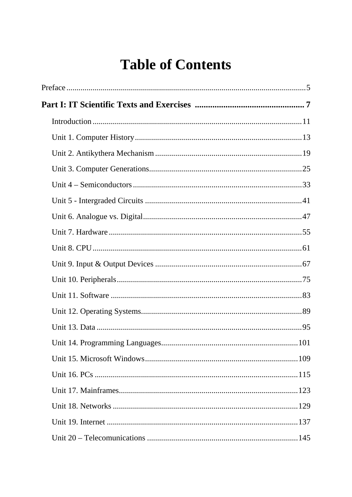## **Table of Contents**